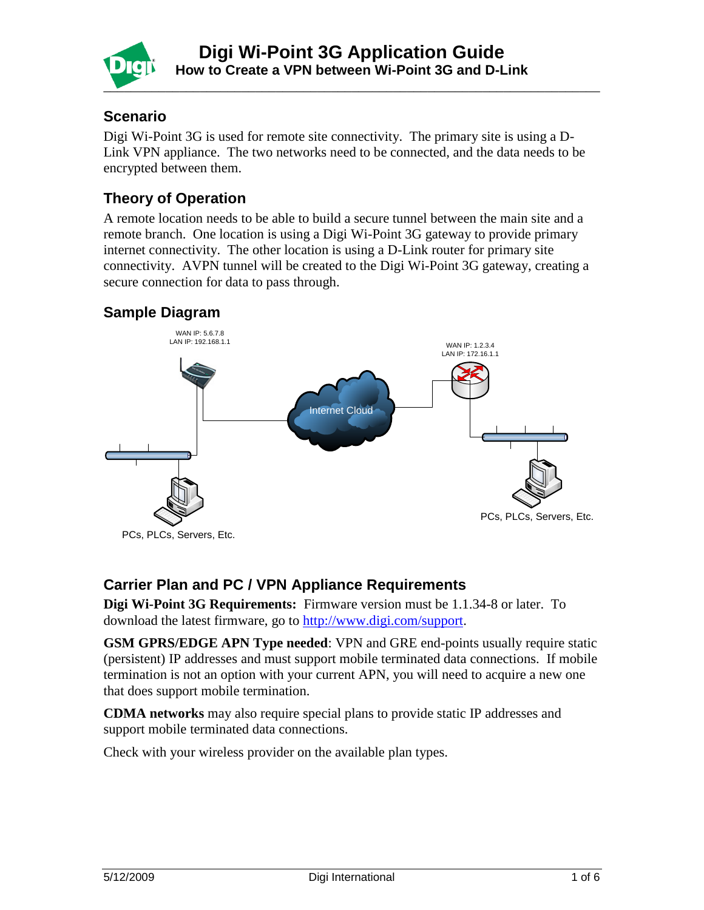

### **Scenario**

Digi Wi-Point 3G is used for remote site connectivity. The primary site is using a D-Link VPN appliance. The two networks need to be connected, and the data needs to be encrypted between them.

# **Theory of Operation**

A remote location needs to be able to build a secure tunnel between the main site and a remote branch. One location is using a Digi Wi-Point 3G gateway to provide primary internet connectivity. The other location is using a D-Link router for primary site connectivity. AVPN tunnel will be created to the Digi Wi-Point 3G gateway, creating a secure connection for data to pass through.

# **Sample Diagram**



# **Carrier Plan and PC / VPN Appliance Requirements**

**Digi Wi-Point 3G Requirements:** Firmware version must be 1.1.34-8 or later. To download the latest firmware, go to [http://www.digi.com/support.](http://www.digi.com/support)

**GSM GPRS/EDGE APN Type needed**: VPN and GRE end-points usually require static (persistent) IP addresses and must support mobile terminated data connections. If mobile termination is not an option with your current APN, you will need to acquire a new one that does support mobile termination.

**CDMA networks** may also require special plans to provide static IP addresses and support mobile terminated data connections.

Check with your wireless provider on the available plan types.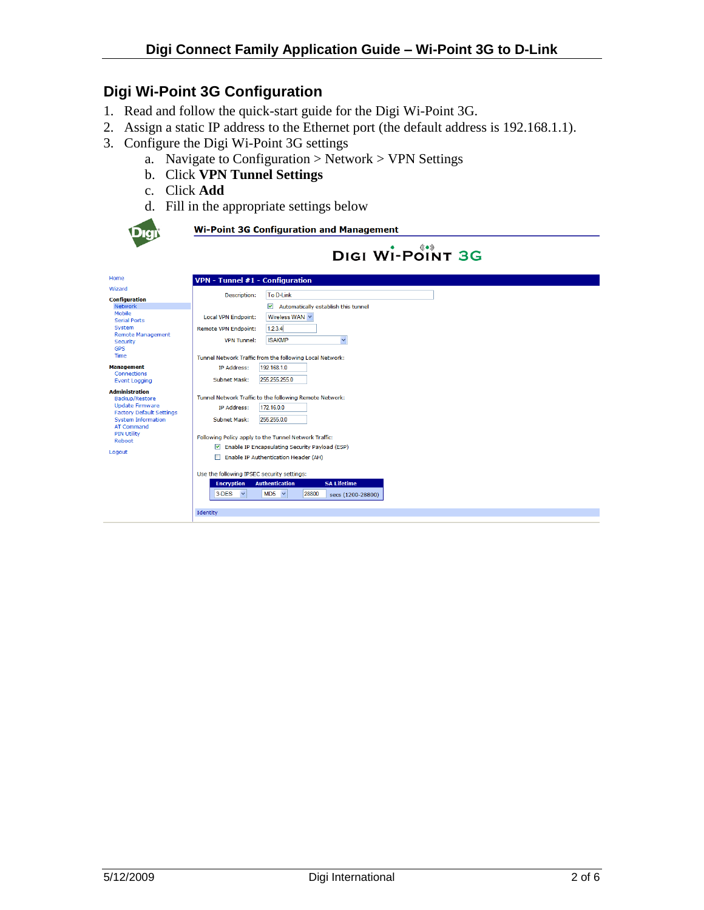### **Digi Wi-Point 3G Configuration**

- 1. Read and follow the quick-start guide for the Digi Wi-Point 3G.
- 2. Assign a static IP address to the Ethernet port (the default address is 192.168.1.1).
- 3. Configure the Digi Wi-Point 3G settings
	- a. Navigate to Configuration  $>$  Network  $>$  VPN Settings
	- b. Click **VPN Tunnel Settings**
	- c. Click **Add**
	- d. Fill in the appropriate settings below

Following Policy apply to the Tunnel Network Traffic: Enable IP Encapsulating Security Payload (ESP)

Enable IP Authentication Header (AH) Use the following IPSEC security settings: **Encryption** Authentication

 $MDS \sim$ 

 $3-DES$   $\vee$ 

Identity



PIN Utility<br>Reboot

Logout

**Wi-Point 3G Configuration and Management** 

|                                                                                                                                                        |                                                   | <b>DIGI WI-POINT 3G</b>                                                              |
|--------------------------------------------------------------------------------------------------------------------------------------------------------|---------------------------------------------------|--------------------------------------------------------------------------------------|
| Home                                                                                                                                                   | VPN - Tunnel #1 - Configuration                   |                                                                                      |
| Wizard<br><b>Configuration</b><br><b>Network</b>                                                                                                       | Description:                                      | To D-Link                                                                            |
| Mobile<br><b>Serial Ports</b>                                                                                                                          | <b>Local VPN Endpoint:</b>                        | Automatically establish this tunnel<br>M<br>Wireless WAN $\vee$                      |
| System<br><b>Remote Management</b><br>Security<br><b>GPS</b>                                                                                           | <b>Remote VPN Endpoint:</b><br><b>VPN Tunnel:</b> | 1.2.3.4<br><b>ISAKMP</b><br>$\checkmark$                                             |
| Time                                                                                                                                                   |                                                   | Tunnel Network Traffic from the following Local Network:                             |
| <b>Management</b><br><b>Connections</b>                                                                                                                | IP Address:                                       | 192.168.1.0                                                                          |
| <b>Event Logging</b>                                                                                                                                   | Subnet Mask:                                      | 255.255.255.0                                                                        |
| <b>Administration</b><br>Backup/Restore<br><b>Update Firmware</b><br><b>Factory Default Settings</b><br><b>System Information</b><br><b>AT Command</b> | IP Address:<br>Subnet Mask:                       | Tunnel Network Traffic to the following Remote Network:<br>172.16.0.0<br>255,255,0.0 |

**SA Lifeti** 

28800 secs (1200-28800)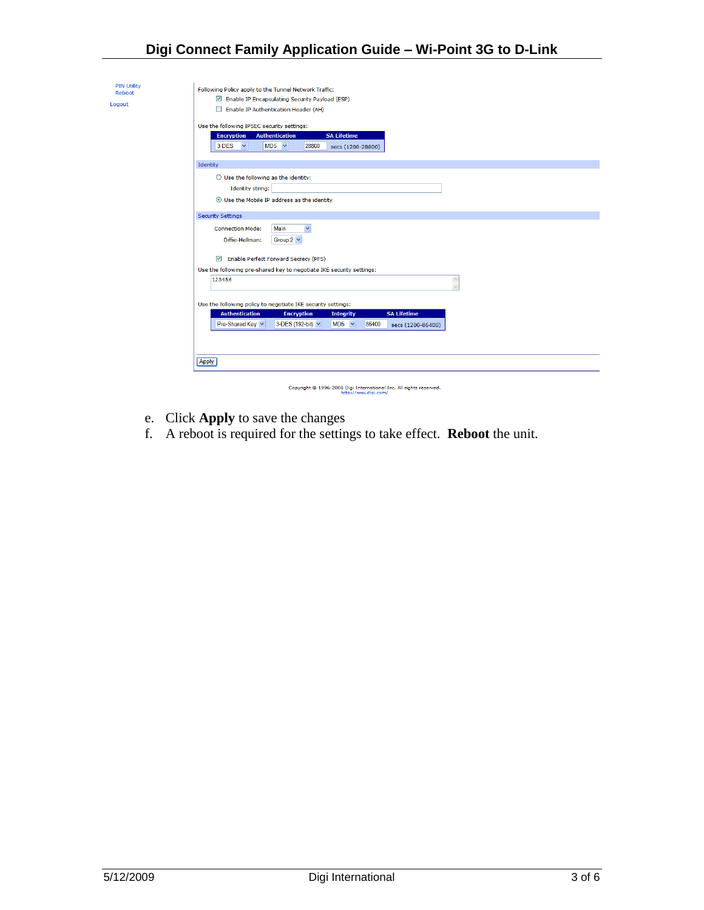### **Digi Connect Family Application Guide – Wi-Point 3G to D-Link**

| <b>PIN Utility</b><br>Reboot<br>Logout | Following Policy apply to the Tunnel Network Traffic:<br>Enable IP Encapsulating Security Payload (ESP)<br>Enable IP Authentication Header (AH)<br>□<br>Use the following IPSEC security settings:<br><b>Encryption</b><br><b>Authentication</b><br><b>SA Lifetime</b><br>$MD5 \sim$<br>3-DES<br>$\checkmark$<br>28800<br>secs (1200-28800) |  |  |  |  |  |  |  |
|----------------------------------------|---------------------------------------------------------------------------------------------------------------------------------------------------------------------------------------------------------------------------------------------------------------------------------------------------------------------------------------------|--|--|--|--|--|--|--|
|                                        | Identity<br>$\bigcirc$ Use the following as the identity:<br><b>Identity string:</b><br>⊙ Use the Mobile IP address as the identity                                                                                                                                                                                                         |  |  |  |  |  |  |  |
|                                        | <b>Security Settings</b>                                                                                                                                                                                                                                                                                                                    |  |  |  |  |  |  |  |
|                                        | Ÿ<br><b>Connection Mode:</b><br>Main<br>Diffie-Hellman:<br>Group $2 \vee$                                                                                                                                                                                                                                                                   |  |  |  |  |  |  |  |
|                                        | <b>Enable Perfect Forward Secrecy (PFS)</b><br>罓                                                                                                                                                                                                                                                                                            |  |  |  |  |  |  |  |
|                                        | Use the following pre-shared key to negotiate IKE security settings:                                                                                                                                                                                                                                                                        |  |  |  |  |  |  |  |
|                                        | 123456<br>$\triangle$                                                                                                                                                                                                                                                                                                                       |  |  |  |  |  |  |  |
|                                        | Use the following policy to negotiate IKE security settings:                                                                                                                                                                                                                                                                                |  |  |  |  |  |  |  |
|                                        | <b>SA Lifetime</b><br><b>Authentication</b><br><b>Encryption</b><br><b>Integrity</b>                                                                                                                                                                                                                                                        |  |  |  |  |  |  |  |
|                                        | Pre-Shared Key<br>3-DES (192-bit) v<br>$MD5 \sim$<br>86400<br>secs (1200-86400)                                                                                                                                                                                                                                                             |  |  |  |  |  |  |  |
|                                        |                                                                                                                                                                                                                                                                                                                                             |  |  |  |  |  |  |  |
|                                        | <b>Apply</b>                                                                                                                                                                                                                                                                                                                                |  |  |  |  |  |  |  |
|                                        |                                                                                                                                                                                                                                                                                                                                             |  |  |  |  |  |  |  |
|                                        | Copyright @ 1996-2008 Digi International Inc. All rights reserved.<br>http://www.digi.com/                                                                                                                                                                                                                                                  |  |  |  |  |  |  |  |

- e. Click **Apply** to save the changes
- f. A reboot is required for the settings to take effect. **Reboot** the unit.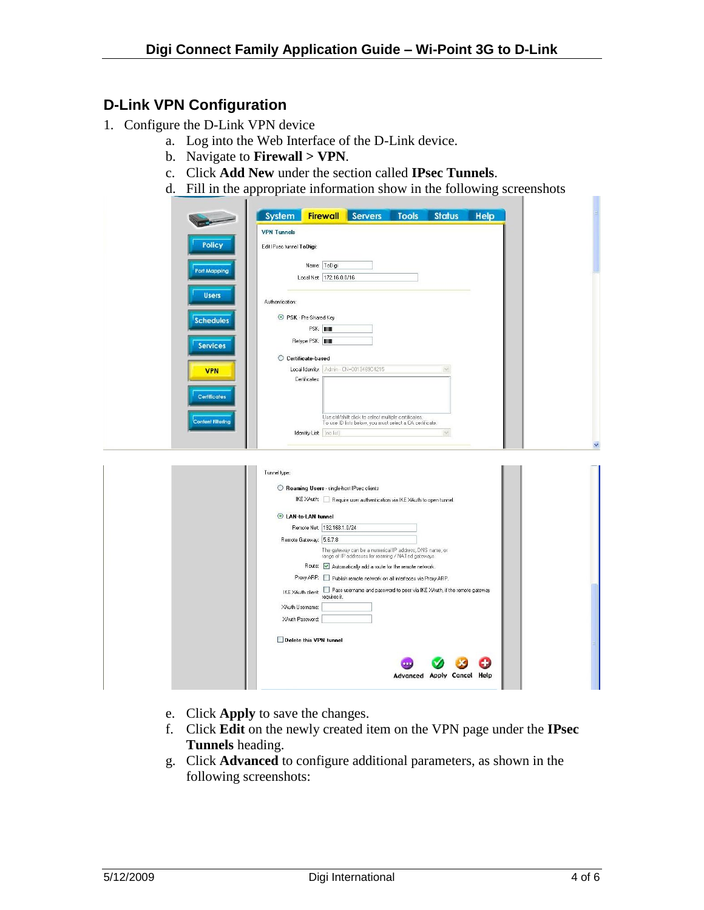#### **D-Link VPN Configuration**

- 1. Configure the D-Link VPN device
	- a. Log into the Web Interface of the D-Link device.
	- b. Navigate to **Firewall > VPN**.
	- c. Click **Add New** under the section called **IPsec Tunnels**.
	- d. Fill in the appropriate information show in the following screenshots

|                          | <b>Firewall</b> Servers<br>System<br><b>Tools</b><br><b>Status</b><br>Help                                     |  |
|--------------------------|----------------------------------------------------------------------------------------------------------------|--|
|                          | <b>VPN Tunnels</b>                                                                                             |  |
| <b>Policy</b>            | Edit IPsec tunnel ToDigi:                                                                                      |  |
|                          |                                                                                                                |  |
| <b>Port Mapping</b>      | Name: ToDigi<br>Local Net: 172.16.0.0/16                                                                       |  |
| <b>Users</b>             |                                                                                                                |  |
|                          | Authentication:                                                                                                |  |
| <b>Schedules</b>         | RSK - Pre-Shared Key                                                                                           |  |
|                          | PSK: HIII<br>Retype PSK:                                                                                       |  |
| <b>Services</b>          | C Certificate-based                                                                                            |  |
| <b>VPN</b>               | Local Identity:   Admin - CN=0013469C4215                                                                      |  |
|                          | Certificates:                                                                                                  |  |
| <b>Certificates</b>      |                                                                                                                |  |
| <b>Content Filtering</b> | Use ctrl/shift click to select multiple certificates.                                                          |  |
|                          | To use ID lists below, you must select a CA certificate.<br>Identity List (no list)<br>$\infty$                |  |
|                          |                                                                                                                |  |
|                          |                                                                                                                |  |
|                          | Tunnel type:                                                                                                   |  |
|                          | Roaming Users - single-host IPsec clients                                                                      |  |
|                          | IKE XAuth: Require user authentication via IKE XAuth to open tunnel.                                           |  |
|                          | C LAN-to-LAN tunnel<br>Remote Net: 192.168.1.0/24                                                              |  |
|                          | Remote Gateway: 5.6.7.8                                                                                        |  |
|                          | The gateway can be a numerical IP address, DNS name, or<br>range of IP addresses for roaming / NATed gateways. |  |
|                          | Route: V Automatically add a route for the remote network.                                                     |  |
|                          | Proxy ARP: Publish remote network on all interfaces via Proxy ARP.                                             |  |
|                          | Pass username and password to peer via IKE XAuth, if the remote gateway<br>IKE XAuth client:<br>requires it.   |  |
|                          | XAuth Username:<br>XAuth Password:                                                                             |  |
|                          |                                                                                                                |  |
|                          | Delete this VPN tunnel                                                                                         |  |
|                          |                                                                                                                |  |
|                          | <b>Advanced Apply Cancel Help</b>                                                                              |  |
|                          |                                                                                                                |  |

- e. Click **Apply** to save the changes.
- f. Click **Edit** on the newly created item on the VPN page under the **IPsec Tunnels** heading.
- g. Click **Advanced** to configure additional parameters, as shown in the following screenshots:

 $\mathbf{r}$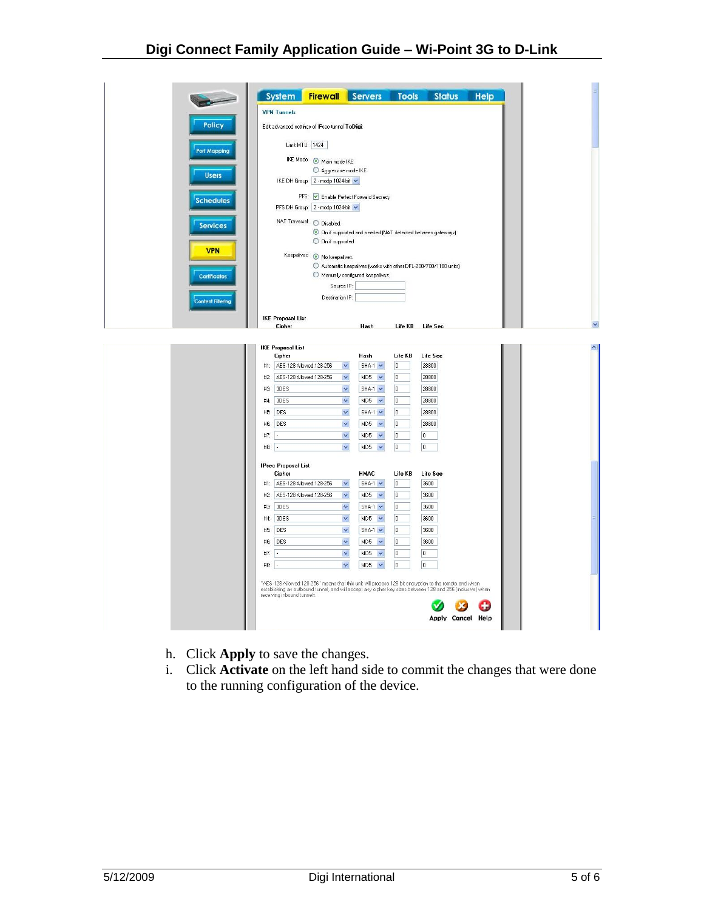|                          | System                                                                                               |                                                | <b>Firewall</b> Servers                                                                                                                                                                                                                                  | <b>Tools</b>                                                             | <b>Status</b>                                                                                                                                                                                                                            | <b>Help</b> |
|--------------------------|------------------------------------------------------------------------------------------------------|------------------------------------------------|----------------------------------------------------------------------------------------------------------------------------------------------------------------------------------------------------------------------------------------------------------|--------------------------------------------------------------------------|------------------------------------------------------------------------------------------------------------------------------------------------------------------------------------------------------------------------------------------|-------------|
|                          | <b>VPN Tunnels</b>                                                                                   |                                                |                                                                                                                                                                                                                                                          |                                                                          |                                                                                                                                                                                                                                          |             |
| <b>Policy</b>            |                                                                                                      | Edit advanced settings of IPsec tunnel ToDigi: |                                                                                                                                                                                                                                                          |                                                                          |                                                                                                                                                                                                                                          |             |
| Port Mapping             |                                                                                                      | Limit MTU: 1424                                |                                                                                                                                                                                                                                                          |                                                                          |                                                                                                                                                                                                                                          |             |
|                          |                                                                                                      | IKE Mode: Main mode IKE                        |                                                                                                                                                                                                                                                          |                                                                          |                                                                                                                                                                                                                                          |             |
| <b>Users</b>             |                                                                                                      | Aggressive mode IKE                            |                                                                                                                                                                                                                                                          |                                                                          |                                                                                                                                                                                                                                          |             |
|                          |                                                                                                      | IKE DH Group: 2 - modp 1024-bit                |                                                                                                                                                                                                                                                          |                                                                          |                                                                                                                                                                                                                                          |             |
| <b>Schedules</b>         |                                                                                                      |                                                | PFS: V Enable Perfect Forward Secrecy                                                                                                                                                                                                                    |                                                                          |                                                                                                                                                                                                                                          |             |
|                          |                                                                                                      | PFS DH Group: 2 - modp 1024-bit                |                                                                                                                                                                                                                                                          |                                                                          |                                                                                                                                                                                                                                          |             |
| <b>Services</b>          |                                                                                                      | NAT Traversal: O Disabled.                     |                                                                                                                                                                                                                                                          |                                                                          |                                                                                                                                                                                                                                          |             |
|                          |                                                                                                      |                                                |                                                                                                                                                                                                                                                          |                                                                          | O On if supported and needed (NAT detected between gateways)                                                                                                                                                                             |             |
| <b>VPN</b>               |                                                                                                      | O On if supported                              |                                                                                                                                                                                                                                                          |                                                                          |                                                                                                                                                                                                                                          |             |
|                          |                                                                                                      | Keepalives: @ No keepalives.                   |                                                                                                                                                                                                                                                          |                                                                          | Automatic keepalives (works with other DFL-200/700/1100 units)                                                                                                                                                                           |             |
| <b>Certificates</b>      |                                                                                                      |                                                | Manually configured keepalives:                                                                                                                                                                                                                          |                                                                          |                                                                                                                                                                                                                                          |             |
|                          |                                                                                                      | Source IP:                                     |                                                                                                                                                                                                                                                          |                                                                          |                                                                                                                                                                                                                                          |             |
| <b>Content Filtering</b> |                                                                                                      | Destination IP:                                |                                                                                                                                                                                                                                                          |                                                                          |                                                                                                                                                                                                                                          |             |
|                          |                                                                                                      |                                                |                                                                                                                                                                                                                                                          |                                                                          |                                                                                                                                                                                                                                          |             |
|                          | <b>IKE Proposal List</b><br>Cipher                                                                   |                                                | Hash                                                                                                                                                                                                                                                     |                                                                          | Life KB Life Sec                                                                                                                                                                                                                         |             |
| #3:<br>#7:<br>#8:        | #1: AES-128 Allowed:128-256<br>#2: AES-128 Allowed:128-256<br>3DES<br>#4: 3DES<br>#5: DES<br>#6: DES |                                                | $SHA-1 \times$<br>×<br>$MD5 \rightarrow$<br>×<br>$\checkmark$<br>$SHA-1 \rightarrow$<br>$\checkmark$<br>$MD5 \rightarrow$<br>×<br>$SHA-1$ $\vee$<br>×<br>$MD5 \rightarrow$<br>$\checkmark$<br>MD5<br>$\checkmark$<br>$\checkmark$<br>MD5<br>$\checkmark$ | 0<br>$\overline{0}$<br>0<br>0<br>$\boxed{0}$<br>0<br>0<br>$\overline{0}$ | 28800<br>28800<br>28800<br>28800<br>28800<br>28800<br>0<br>$\overline{0}$                                                                                                                                                                |             |
|                          | <b>IPsec Proposal List</b>                                                                           |                                                |                                                                                                                                                                                                                                                          |                                                                          |                                                                                                                                                                                                                                          |             |
|                          | Cipher<br>#1: AES-128 Allowed:128-256                                                                |                                                | <b>HMAC</b><br>$\checkmark$<br>$SHA-1$ $\vee$                                                                                                                                                                                                            | Life KB<br>0                                                             | Life Sec<br>3600                                                                                                                                                                                                                         |             |
|                          | #2: AES-128 Allowed:128-256                                                                          |                                                | MD5<br>$\checkmark$<br>$\checkmark$                                                                                                                                                                                                                      | 0                                                                        | 3600                                                                                                                                                                                                                                     |             |
| #3:                      | 3DES                                                                                                 |                                                | $\checkmark$<br>$SHA-1 \times$                                                                                                                                                                                                                           | 0                                                                        | 3600                                                                                                                                                                                                                                     |             |
| #4:                      | 3DES                                                                                                 |                                                | $\checkmark$<br>$MD5 \rightarrow$                                                                                                                                                                                                                        | o                                                                        | 3600                                                                                                                                                                                                                                     |             |
|                          | #5: DES                                                                                              |                                                | $\checkmark$<br>$SHA-1 \times$                                                                                                                                                                                                                           | $\boldsymbol{0}$                                                         | 3600                                                                                                                                                                                                                                     |             |
|                          | #6: DES                                                                                              |                                                | $\checkmark$<br>$MD5$ $\vee$                                                                                                                                                                                                                             | 0                                                                        | 3600                                                                                                                                                                                                                                     |             |
| #7:                      |                                                                                                      |                                                | $\checkmark$<br>MD5<br>$\checkmark$                                                                                                                                                                                                                      | 0                                                                        | 0                                                                                                                                                                                                                                        |             |
| #8:                      |                                                                                                      |                                                | Ÿ<br>MD5<br>$\checkmark$                                                                                                                                                                                                                                 | $\overline{0}$                                                           | $\overline{0}$                                                                                                                                                                                                                           |             |
|                          | receiving inbound tunnels.                                                                           |                                                |                                                                                                                                                                                                                                                          |                                                                          | "AES-128 Allowed:128-256" means that this unit will propose 128 bit encryption to the remote end when<br>establishing an outbound tunnel, and will accept any cipher key sizes between 128 and 256 (inclusive) when<br>Apply Cancel Help |             |

- h. Click **Apply** to save the changes.
- i. Click **Activate** on the left hand side to commit the changes that were done to the running configuration of the device.